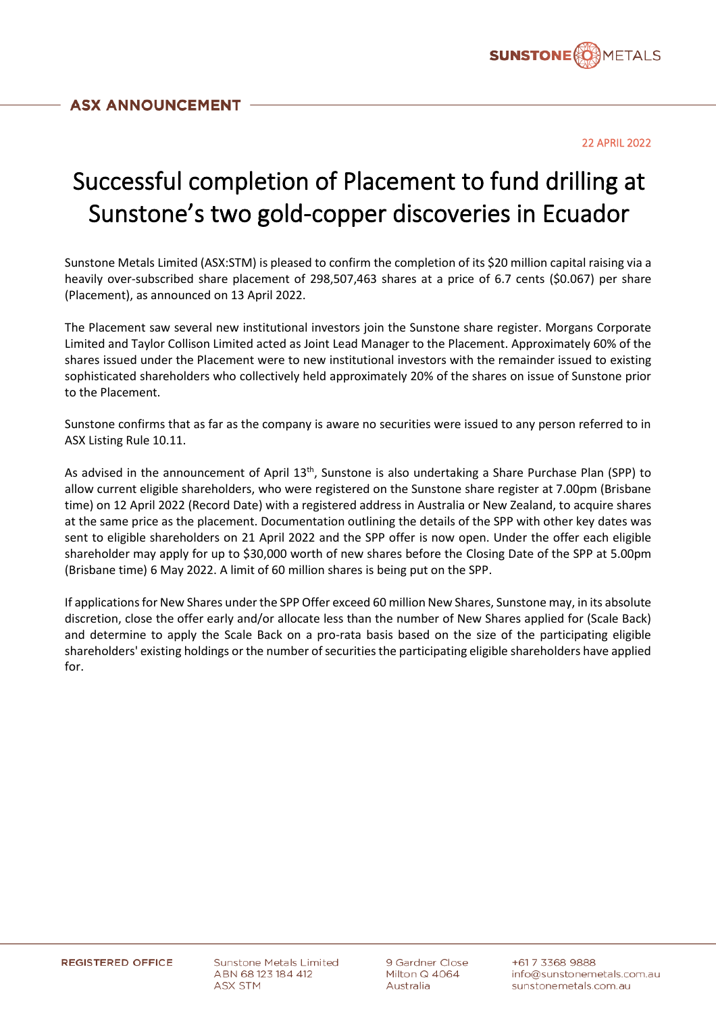

22 APRIL 2022

## Successful completion of Placement to fund drilling at Sunstone's two gold-copper discoveries in Ecuador

Sunstone Metals Limited (ASX:STM) is pleased to confirm the completion of its \$20 million capital raising via a heavily over-subscribed share placement of 298,507,463 shares at a price of 6.7 cents (\$0.067) per share (Placement), as announced on 13 April 2022.

The Placement saw several new institutional investors join the Sunstone share register. Morgans Corporate Limited and Taylor Collison Limited acted as Joint Lead Manager to the Placement. Approximately 60% of the shares issued under the Placement were to new institutional investors with the remainder issued to existing sophisticated shareholders who collectively held approximately 20% of the shares on issue of Sunstone prior to the Placement.

Sunstone confirms that as far as the company is aware no securities were issued to any person referred to in ASX Listing Rule 10.11.

As advised in the announcement of April 13<sup>th</sup>, Sunstone is also undertaking a Share Purchase Plan (SPP) to allow current eligible shareholders, who were registered on the Sunstone share register at 7.00pm (Brisbane time) on 12 April 2022 (Record Date) with a registered address in Australia or New Zealand, to acquire shares at the same price as the placement. Documentation outlining the details of the SPP with other key dates was sent to eligible shareholders on 21 April 2022 and the SPP offer is now open. Under the offer each eligible shareholder may apply for up to \$30,000 worth of new shares before the Closing Date of the SPP at 5.00pm (Brisbane time) 6 May 2022. A limit of 60 million shares is being put on the SPP.

If applications for New Shares under the SPP Offer exceed 60 million New Shares, Sunstone may, in its absolute discretion, close the offer early and/or allocate less than the number of New Shares applied for (Scale Back) and determine to apply the Scale Back on a pro-rata basis based on the size of the participating eligible shareholders' existing holdings or the number of securities the participating eligible shareholders have applied for.

**Sunstone Metals Limited** ABN 68123184412 ASX STM

9 Gardner Close Milton Q 4064 Australia

+617 3368 9888 info@sunstonemetals.com.au sunstonemetals.com.au